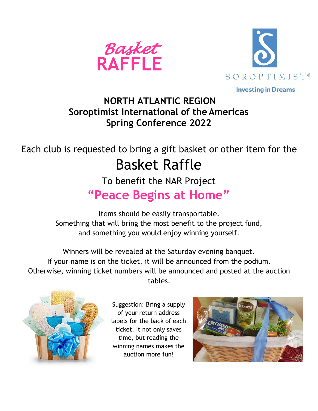



## **NORTH ATLANTIC REGION Soroptimist International of the Americas Spring Conference 2022**

# Each club is requested to bring a gift basket or other item for the Basket Raffle

## To benefit the NAR Project **"Peace Begins at Home"**

#### Items should be easily transportable. Something that will bring the most benefit to the project fund, and something you would enjoy winning yourself.

Winners will be revealed at the Saturday evening banquet. If your name is on the ticket, it will be announced from the podium. Otherwise, winning ticket numbers will be announced and posted at the auction tables.



Suggestion: Bring a supply of your return address labels for the back of each ticket. It not only saves time, but reading the winning names makes the auction more fun!

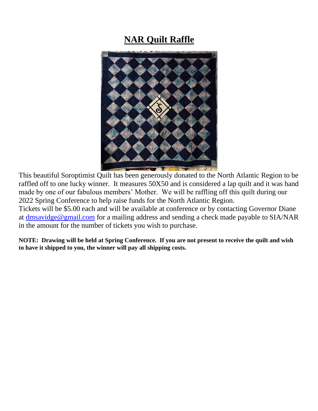### **NAR Quilt Raffle**



This beautiful Soroptimist Quilt has been generously donated to the North Atlantic Region to be raffled off to one lucky winner. It measures 50X50 and is considered a lap quilt and it was hand made by one of our fabulous members' Mother. We will be raffling off this quilt during our 2022 Spring Conference to help raise funds for the North Atlantic Region.

Tickets will be \$5.00 each and will be available at conference or by contacting Governor Diane at [dmsavidge@gmail.com](mailto:dmsavidge@gmail.com) for a mailing address and sending a check made payable to SIA/NAR in the amount for the number of tickets you wish to purchase.

**NOTE: Drawing will be held at Spring Conference. If you are not present to receive the quilt and wish to have it shipped to you, the winner will pay all shipping costs.**